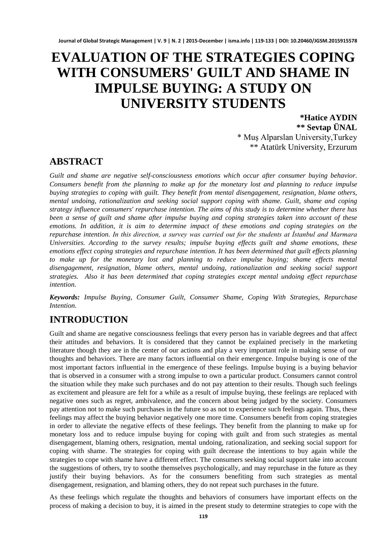# **EVALUATION OF THE STRATEGIES COPING WITH CONSUMERS' GUILT AND SHAME IN IMPULSE BUYING: A STUDY ON UNIVERSITY STUDENTS**

**\*Hatice AYDIN \*\* Sevtap ÜNAL** \* Muş Alparslan University,Turkey \*\* Atatürk University, Erzurum

## **ABSTRACT**

*Guilt and shame are negative self-consciousness emotions which occur after consumer buying behavior. Consumers benefit from the planning to make up for the monetary lost and planning to reduce impulse buying strategies to coping with guilt. They benefit from mental disengagement, resignation, blame others, mental undoing, rationalization and seeking social support coping with shame. Guilt, shame and coping strategy influence consumers' repurchase intention. The aims of this study is to determine whether there has been a sense of guilt and shame after impulse buying and coping strategies taken into account of these emotions. In addition, it is aim to determine impact of these emotions and coping strategies on the repurchase intention. In this direction, a survey was carried out for the students at İstanbul and Marmara Universities. According to the survey results; impulse buying effects guilt and shame emotions, these emotions effect coping strategies and repurchase intention. It has been determined that guilt effects planning to make up for the monetary lost and planning to reduce impulse buying; shame effects mental disengagement, resignation, blame others, mental undoing, rationalization and seeking social support strategies. Also it has been determined that coping strategies except mental undoing effect repurchase intention.*

*Keywords: Impulse Buying, Consumer Guilt, Consumer Shame, Coping With Strategies, Repurchase Intention.*

# **INTRODUCTION**

Guilt and shame are negative consciousness feelings that every person has in variable degrees and that affect their attitudes and behaviors. It is considered that they cannot be explained precisely in the marketing literature though they are in the center of our actions and play a very important role in making sense of our thoughts and behaviors. There are many factors influential on their emergence. Impulse buying is one of the most important factors influential in the emergence of these feelings. Impulse buying is a buying behavior that is observed in a consumer with a strong impulse to own a particular product. Consumers cannot control the situation while they make such purchases and do not pay attention to their results. Though such feelings as excitement and pleasure are felt for a while as a result of impulse buying, these feelings are replaced with negative ones such as regret, ambivalence, and the concern about being judged by the society. Consumers pay attention not to make such purchases in the future so as not to experience such feelings again. Thus, these feelings may affect the buying behavior negatively one more time. Consumers benefit from coping strategies in order to alleviate the negative effects of these feelings. They benefit from the planning to make up for monetary loss and to reduce impulse buying for coping with guilt and from such strategies as mental disengagement, blaming others, resignation, mental undoing, rationalization, and seeking social support for coping with shame. The strategies for coping with guilt decrease the intentions to buy again while the strategies to cope with shame have a different effect. The consumers seeking social support take into account the suggestions of others, try to soothe themselves psychologically, and may repurchase in the future as they justify their buying behaviors. As for the consumers benefiting from such strategies as mental disengagement, resignation, and blaming others, they do not repeat such purchases in the future.

As these feelings which regulate the thoughts and behaviors of consumers have important effects on the process of making a decision to buy, it is aimed in the present study to determine strategies to cope with the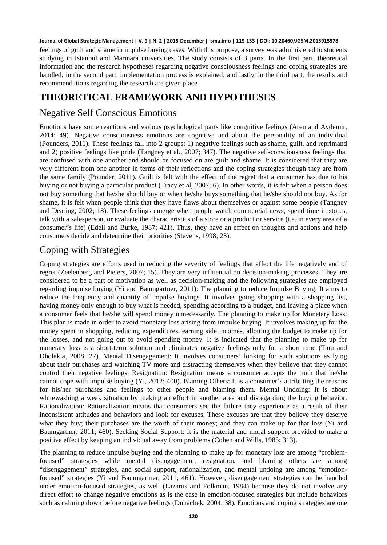feelings of guilt and shame in impulse buying cases. With this purpose, a survey was administered to students studying in Istanbul and Marmara universities. The study consists of 3 parts. In the first part, theoretical information and the research hypotheses regarding negative consciousness feelings and coping strategies are handled; in the second part, implementation process is explained; and lastly, in the third part, the results and recommendations regarding the research are given place

# **THEORETICAL FRAMEWORK AND HYPOTHESES**

### Negative Self Conscious Emotions

Emotions have some reactions and various psychological parts like congnitive feelings (Aren and Aydemir, 2014; 49). Negative consciousness emotions are cognitive and about the personality of an individual (Pounders, 2011). These feelings fall into 2 groups: 1) negative feelings such as shame, guilt, and reprimand and 2) positive feelings like pride (Tangney et al., 2007; 347). The negative self-consciousness feelings that are confused with one another and should be focused on are guilt and shame. It is considered that they are very different from one another in terms of their reflections and the coping strategies though they are from the same family (Pounder, 2011). Guilt is felt with the effect of the regret that a consumer has due to his buying or not buying a particular product (Tracy et al, 2007; 6). In other words, it is felt when a person does not buy something that he/she should buy or when he/she buys something that he/she should not buy. As for shame, it is felt when people think that they have flaws about themselves or against some people (Tangney and Dearing, 2002; 18). These feelings emerge when people watch commercial news, spend time in stores, talk with a salesperson, or evaluate the characteristics of a store or a product or service (i.e. in every area of a consumer's life) (Edell and Burke, 1987; 421). Thus, they have an effect on thoughts and actions and help consumers decide and determine their priorities (Stevens, 1998; 23).

### Coping with Strategies

Coping strategies are efforts used in reducing the severity of feelings that affect the life negatively and of regret (Zeelenberg and Pieters, 2007; 15). They are very influential on decision-making processes. They are considered to be a part of motivation as well as decision-making and the following strategies are employed regarding impulse buying (Yi and Baumgartner, 2011): The planning to reduce Impulse Buying: It aims to reduce the frequency and quantity of impulse buyings. It involves going shopping with a shopping list, having money only enough to buy what is needed, spending according to a budget, and leaving a place when a consumer feels that he/she will spend money unnecessarily. The planning to make up for Monetary Loss: This plan is made in order to avoid monetary loss arising from impulse buying. It involves making up for the money spent in shopping, reducing expenditures, earning side incomes, allotting the budget to make up for the losses, and not going out to avoid spending money. It is indicated that the planning to make up for monetary loss is a short-term solution and eliminates negative feelings only for a short time (Tam and Dholakia, 2008; 27). Mental Disengagement: It involves consumers' looking for such solutions as lying about their purchases and watching TV more and distracting themselves when they believe that they cannot control their negative feelings. Resignation: Resignation means a consumer accepts the truth that he/she cannot cope with impulse buying (Yi, 2012; 400). Blaming Others: It is a consumer's attributing the reasons for his/her purchases and feelings to other people and blaming them. Mental Undoing: It is about whitewashing a weak situation by making an effort in another area and disregarding the buying behavior. Rationalization: Rationalization means that consumers see the failure they experience as a result of their inconsistent attitudes and behaviors and look for excuses. These excuses are that they believe they deserve what they buy; their purchases are the worth of their money; and they can make up for that loss (Yi and Baumgartner, 2011; 460). Seeking Social Support: It is the material and moral support provided to make a positive effect by keeping an individual away from problems (Cohen and Wills, 1985; 313).

The planning to reduce impulse buying and the planning to make up for monetary loss are among "problemfocused" strategies while mental disengagement, resignation, and blaming others are among "disengagement" strategies, and social support, rationalization, and mental undoing are among "emotionfocused" strategies (Yi and Baumgartner, 2011; 461). However, disengagement strategies can be handled under emotion-focused strategies, as well (Lazarus and Folkman, 1984) because they do not involve any direct effort to change negative emotions as is the case in emotion-focused strategies but include behaviors such as calming down before negative feelings (Duhachek, 2004; 38). Emotions and coping strategies are one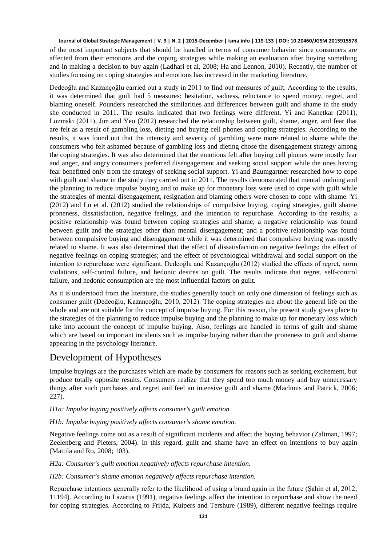of the most important subjects that should be handled in terms of consumer behavior since consumers are affected from their emotions and the coping strategies while making an evaluation after buying something and in making a decision to buy again (Ladhari et al, 2008; Ha and Lennon, 2010). Recently, the number of studies focusing on coping strategies and emotions has increased in the marketing literature.

Dedeoğlu and Kazançoğlu carried out a study in 2011 to find out measures of guilt. According to the results, it was determined that guilt had 5 measures: hesitation, sadness, reluctance to spend money, regret, and blaming oneself. Pounders researched the similarities and differences between guilt and shame in the study she conducted in 2011. The results indicated that two feelings were different. Yi and Kanetkar (2011), Lozınskı (2011), Jun and Yeo (2012) researched the relationship between guilt, shame, anger, and fear that are felt as a result of gambling loss, dieting and buying cell phones and coping strategies. According to the results, it was found out that the intensity and severity of gambling were more related to shame while the consumers who felt ashamed because of gambling loss and dieting chose the disengagement strategy among the coping strategies. It was also determined that the emotions felt after buying cell phones were mostly fear and anger, and angry consumers preferred disengagement and seeking social support while the ones having fear benefitted only from the strategy of seeking social support. Yi and Baumgartner researched how to cope with guilt and shame in the study they carried out in 2011. The results demonstrated that mental undoing and the planning to reduce impulse buying and to make up for monetary loss were used to cope with guilt while the strategies of mental disengagement, resignation and blaming others were chosen to cope with shame. Yi (2012) and Lu et al. (2012) studied the relationships of compulsive buying, coping strategies, guilt shame proneness, dissatisfaction, negative feelings, and the intention to repurchase. According to the results, a positive relationship was found between coping strategies and shame; a negative relationship was found between guilt and the strategies other than mental disengagement; and a positive relationship was found between compulsive buying and disengagement while it was determined that compulsive buying was mostly related to shame. It was also determined that the effect of dissatisfaction on negative feelings; the effect of negative feelings on coping strategies; and the effect of psychological withdrawal and social support on the intention to repurchase were significant. Dedeoğlu and Kazançoğlu (2012) studied the effects of regret, norm violations, self-control failure, and hedonic desires on guilt. The results indicate that regret, self-control failure, and hedonic consumption are the most influential factors on guilt.

As it is understood from the literature, the studies generally touch on only one dimension of feelings such as consumer guilt (Dedeoğlu, Kazançoğlu, 2010, 2012). The coping strategies are about the general life on the whole and are not suitable for the concept of impulse buying. For this reason, the present study gives place to the strategies of the planning to reduce impulse buying and the planning to make up for monetary loss which take into account the concept of impulse buying. Also, feelings are handled in terms of guilt and shame which are based on important incidents such as impulse buying rather than the proneness to guilt and shame appearing in the psychology literature.

### Development of Hypotheses

Impulse buyings are the purchases which are made by consumers for reasons such as seeking excitement, but produce totally opposite results. Consumers realize that they spend too much money and buy unnecessary things after such purchases and regret and feel an intensive guilt and shame (Maclnnis and Patrick, 2006; 227).

#### *H1a: Impulse buying positively affects consumer's guilt emotion.*

*H1b: Impulse buying positively affects consumer's shame emotion.* 

Negative feelings come out as a result of significant incidents and affect the buying behavior (Zaltman, 1997; Zeelenberg and Pieters, 2004). In this regard, guilt and shame have an effect on intentions to buy again (Mattila and Ro, 2008; 103).

*H2a: Consumer's guilt emotion negatively affects repurchase intention.* 

*H2b: Consumer's shame emotion negatively affects repurchase intention.* 

Repurchase intentions generally refer to the likelihood of using a brand again in the future (Şahin et al, 2012; 11194). According to Lazarus (1991), negative feelings affect the intention to repurchase and show the need for coping strategies. According to Frijda, Kuipers and Tershure (1989), different negative feelings require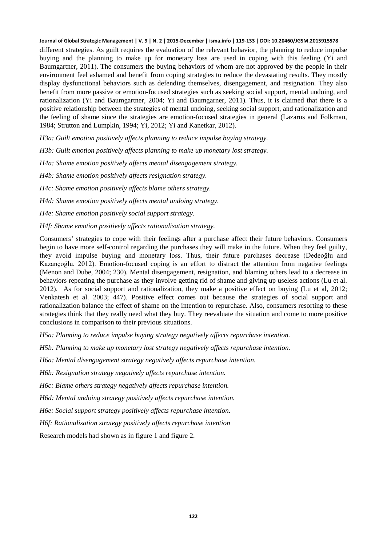different strategies. As guilt requires the evaluation of the relevant behavior, the planning to reduce impulse buying and the planning to make up for monetary loss are used in coping with this feeling (Yi and Baumgartner, 2011). The consumers the buying behaviors of whom are not approved by the people in their environment feel ashamed and benefit from coping strategies to reduce the devastating results. They mostly display dysfunctional behaviors such as defending themselves, disengagement, and resignation. They also benefit from more passive or emotion-focused strategies such as seeking social support, mental undoing, and rationalization (Yi and Baumgartner, 2004; Yi and Baumgarner, 2011). Thus, it is claimed that there is a positive relationship between the strategies of mental undoing, seeking social support, and rationalization and the feeling of shame since the strategies are emotion-focused strategies in general (Lazarus and Folkman, 1984; Strutton and Lumpkin, 1994; Yi, 2012; Yi and Kanetkar, 2012).

*H3a: Guilt emotion positively affects planning to reduce impulse buying strategy.*

*H3b: Guilt emotion positively affects planning to make up monetary lost strategy.*

*H4a: Shame emotion positively affects mental disengagement strategy.*

*H4b: Shame emotion positively affects resignation strategy.*

*H4c: Shame emotion positively affects blame others strategy.*

*H4d: Shame emotion positively affects mental undoing strategy.*

*H4e: Shame emotion positively social support strategy.*

*H4f: Shame emotion positively affects rationalisation strategy.*

Consumers' strategies to cope with their feelings after a purchase affect their future behaviors. Consumers begin to have more self-control regarding the purchases they will make in the future. When they feel guilty, they avoid impulse buying and monetary loss. Thus, their future purchases decrease (Dedeoğlu and Kazançoğlu, 2012). Emotion-focused coping is an effort to distract the attention from negative feelings (Menon and Dube, 2004; 230). Mental disengagement, resignation, and blaming others lead to a decrease in behaviors repeating the purchase as they involve getting rid of shame and giving up useless actions (Lu et al. 2012). As for social support and rationalization, they make a positive effect on buying (Lu et al, 2012; Venkatesh et al. 2003; 447). Positive effect comes out because the strategies of social support and rationalization balance the effect of shame on the intention to repurchase. Also, consumers resorting to these strategies think that they really need what they buy. They reevaluate the situation and come to more positive conclusions in comparison to their previous situations.

*H5a: Planning to reduce impulse buying strategy negatively affects repurchase intention.*

*H5b: Planning to make up monetary lost strategy negatively affects repurchase intention.*

*H6a: Mental disengagement strategy negatively affects repurchase intention.*

*H6b: Resignation strategy negatively affects repurchase intention.*

*H6c: Blame others strategy negatively affects repurchase intention.*

*H6d: Mental undoing strategy positively affects repurchase intention.*

*H6e: Social support strategy positively affects repurchase intention.*

*H6f: Rationalisation strategy positively affects repurchase intention*

Research models had shown as in figure 1 and figure 2.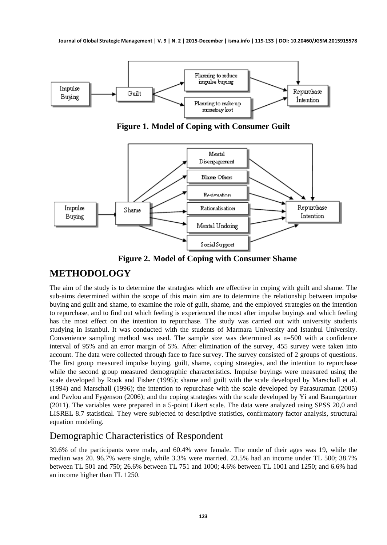

**Figure 1. Model of Coping with Consumer Guilt**



**Figure 2. Model of Coping with Consumer Shame**

# **METHODOLOGY**

The aim of the study is to determine the strategies which are effective in coping with guilt and shame. The sub-aims determined within the scope of this main aim are to determine the relationship between impulse buying and guilt and shame, to examine the role of guilt, shame, and the employed strategies on the intention to repurchase, and to find out which feeling is experienced the most after impulse buyings and which feeling has the most effect on the intention to repurchase. The study was carried out with university students studying in Istanbul. It was conducted with the students of Marmara University and Istanbul University. Convenience sampling method was used. The sample size was determined as n=500 with a confidence interval of 95% and an error margin of 5%. After elimination of the survey, 455 survey were taken into account. The data were collected through face to face survey. The survey consisted of 2 groups of questions. The first group measured impulse buying, guilt, shame, coping strategies, and the intention to repurchase while the second group measured demographic characteristics. Impulse buyings were measured using the scale developed by Rook and Fisher (1995); shame and guilt with the scale developed by Marschall et al. (1994) and Marschall (1996); the intention to repurchase with the scale developed by Parasuraman (2005) and Pavlou and Fygenson (2006); and the coping strategies with the scale developed by Yi and Baumgartner (2011). The variables were prepared in a 5-point Likert scale. The data were analyzed using SPSS 20,0 and LISREL 8.7 statistical. They were subjected to descriptive statistics, confirmatory factor analysis, structural equation modeling.

### Demographic Characteristics of Respondent

39.6% of the participants were male, and 60.4% were female. The mode of their ages was 19, while the median was 20. 96.7% were single, while 3.3% were married. 23.5% had an income under TL 500; 38.7% between TL 501 and 750; 26.6% between TL 751 and 1000; 4.6% between TL 1001 and 1250; and 6.6% had an income higher than TL 1250.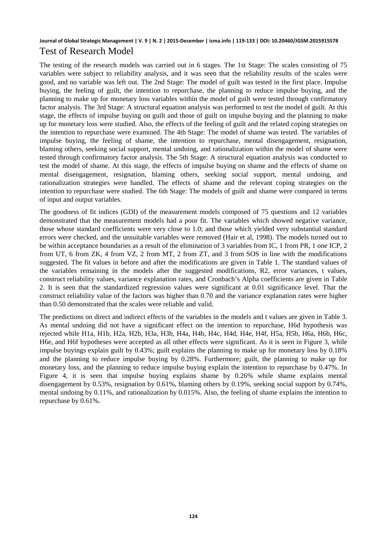#### **Journal of Global Strategic Management | V. 9 | N. 2 | 2015-December | isma.info | 119-133 | DOI: 10.20460/JGSM.2015915578** Test of Research Model

The testing of the research models was carried out in 6 stages. The 1st Stage: The scales consisting of 75 variables were subject to reliability analysis, and it was seen that the reliability results of the scales were good, and no variable was left out. The 2nd Stage: The model of guilt was tested in the first place. Impulse buying, the feeling of guilt, the intention to repurchase, the planning to reduce impulse buying, and the planning to make up for monetary loss variables within the model of guilt were tested through confirmatory factor analysis. The 3rd Stage: A structural equation analysis was performed to test the model of guilt. At this stage, the effects of impulse buying on guilt and those of guilt on impulse buying and the planning to make up for monetary loss were studied. Also, the effects of the feeling of guilt and the related coping strategies on the intention to repurchase were examined. The 4th Stage: The model of shame was tested. The variables of impulse buying, the feeling of shame, the intention to repurchase, mental disengagement, resignation, blaming others, seeking social support, mental undoing, and rationalization within the model of shame were tested through confirmatory factor analysis. The 5th Stage: A structural equation analysis was conducted to test the model of shame. At this stage, the effects of impulse buying on shame and the effects of shame on mental disengagement, resignation, blaming others, seeking social support, mental undoing, and rationalization strategies were handled. The effects of shame and the relevant coping strategies on the intention to repurchase were studied. The 6th Stage: The models of guilt and shame were compared in terms of input and output variables.

The goodness of fit indices (GDI) of the measurement models composed of 75 questions and 12 variables demonstrated that the measurement models had a poor fit. The variables which showed negative variance, those whose standard coefficients were very close to 1.0; and those which yielded very substantial standard errors were checked, and the unsuitable variables were removed (Hair et al, 1998). The models turned out to be within acceptance boundaries as a result of the elimination of 3 variables from IC, 1 from PR, 1 one ICP, 2 from UT, 6 from ZK, 4 from VZ, 2 from MT, 2 from ZT, and 3 from SOS in line with the modifications suggested. The fit values in before and after the modifications are given in Table 1. The standard values of the variables remaining in the models after the suggested modifications, R2, error variances, t values, construct reliability values, variance explanation rates, and Cronbach's Alpha coefficients are given in Table 2. It is seen that the standardized regression values were significant at 0.01 significance level. That the construct reliability value of the factors was higher than 0.70 and the variance explanation rates were higher than 0.50 demonstrated that the scales were reliable and valid.

The predictions on direct and indirect effects of the variables in the models and t values are given in Table 3. As mental undoing did not have a significant effect on the intention to repurchase, H6d hypothesis was rejected while H1a, H1b, H2a, H2b, H3a, H3b, H4a, H4b, H4c, H4d, H4e, H4f, H5a, H5b, H6a, H6b, H6c, H6e, and H6f hypotheses were accepted as all other effects were significant. As it is seen in Figure 3, while impulse buyings explain guilt by 0.43%; guilt explains the planning to make up for monetary loss by 0.18% and the planning to reduce impulse buying by 0.28%. Furthermore; guilt, the planning to make up for monetary loss, and the planning to reduce impulse buying explain the intention to repurchase by 0.47%. In Figure 4, it is seen that impulse buying explains shame by 0.26% while shame explains mental disengagement by 0.53%, resignation by 0.61%, blaming others by 0.19%, seeking social support by 0.74%, mental undoing by 0.11%, and rationalization by 0.015%. Also, the feeling of shame explains the intention to repurchase by 0.61%.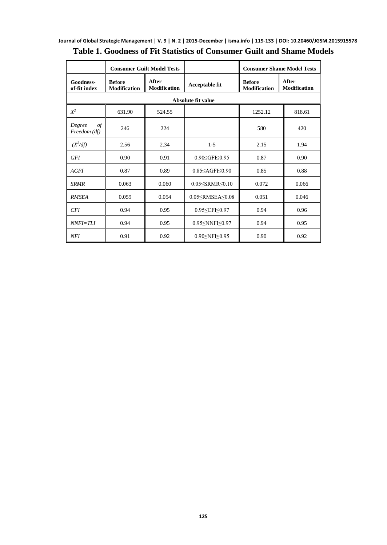|                                      |                                      | <b>Consumer Guilt Model Tests</b> |                                                                | <b>Consumer Shame Model Tests</b>    |                              |  |  |  |  |  |
|--------------------------------------|--------------------------------------|-----------------------------------|----------------------------------------------------------------|--------------------------------------|------------------------------|--|--|--|--|--|
| Goodness-<br>of-fit index            | <b>Before</b><br><b>Modification</b> | After<br><b>Modification</b>      | Acceptable fit                                                 | <b>Before</b><br><b>Modification</b> | After<br><b>Modification</b> |  |  |  |  |  |
| <b>Absolute fit value</b>            |                                      |                                   |                                                                |                                      |                              |  |  |  |  |  |
| $X^2$                                | 631.90                               | 524.55                            |                                                                | 1252.12                              | 818.61                       |  |  |  |  |  |
| $\sigma f$<br>Degree<br>Freedom (df) | 246                                  | 224                               |                                                                | 580                                  | 420                          |  |  |  |  |  |
| $(X^2/df)$                           | 2.56                                 | 2.34                              | $1 - 5$                                                        | 2.15                                 | 1.94                         |  |  |  |  |  |
| <b>GFI</b>                           | 0.90                                 | 0.91                              | 0.90≤GFI≤0.95                                                  | 0.87                                 | 0.90                         |  |  |  |  |  |
| AGFI                                 | 0.87                                 | 0.89                              | $0.85 \leq$ AGFI $\leq$ 0.90                                   | 0.85                                 | 0.88                         |  |  |  |  |  |
| <b>SRMR</b>                          | 0.063                                | 0.060                             | $0.05 \leq$ SRMR $\leq 0.10$                                   | 0.072                                | 0.066                        |  |  |  |  |  |
| <b>RMSEA</b>                         | 0.059                                | 0.054                             | $0.05 \leq$ RMSEA $\leq$ 0.08                                  | 0.051                                | 0.046                        |  |  |  |  |  |
| <b>CFI</b>                           | 0.94                                 | 0.95                              | 0.95≤CFI≤0.97                                                  | 0.94                                 | 0.96                         |  |  |  |  |  |
| $NNFI=TLI$                           | 0.94                                 | 0.95                              | 0.95 <nnfi<0.97< td=""><td>0.94</td><td>0.95</td></nnfi<0.97<> | 0.94                                 | 0.95                         |  |  |  |  |  |
| NFI                                  | 0.91                                 | 0.92                              | 0.90 SNFI < 0.95                                               | 0.90                                 | 0.92                         |  |  |  |  |  |

### **Table 1. Goodness of Fit Statistics of Consumer Guilt and Shame Models**

J.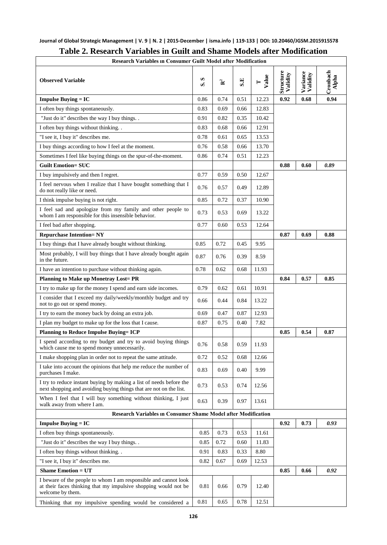| <b>Research Variables in Consumer Guilt Model after Modification</b>                                                                                   |      |                |      |            |                       |                      |                   |  |
|--------------------------------------------------------------------------------------------------------------------------------------------------------|------|----------------|------|------------|-----------------------|----------------------|-------------------|--|
| <b>Observed Variable</b>                                                                                                                               |      | $\mathbf{R}^2$ | S.E  | Value<br>⊨ | Structure<br>Validity | Variance<br>Validity | Cronbach<br>Alpha |  |
| <b>Impulse Buying = IC</b>                                                                                                                             | 0.86 | 0.74           | 0.51 | 12.23      | 0.92                  | 0.68                 | 0.94              |  |
| I often buy things spontaneously.                                                                                                                      | 0.83 | 0.69           | 0.66 | 12.83      |                       |                      |                   |  |
| "Just do it" describes the way I buy things                                                                                                            | 0.91 | 0.82           | 0.35 | 10.42      |                       |                      |                   |  |
| I often buy things without thinking                                                                                                                    |      | 0.68           | 0.66 | 12.91      |                       |                      |                   |  |
| "I see it, I buy it" describes me.                                                                                                                     |      | 0.61           | 0.65 | 13.53      |                       |                      |                   |  |
| I buy things according to how I feel at the moment.                                                                                                    | 0.76 | 0.58           | 0.66 | 13.70      |                       |                      |                   |  |
| Sometimes I feel like buying things on the spur-of-the-moment.                                                                                         | 0.86 | 0.74           | 0.51 | 12.23      |                       |                      |                   |  |
| <b>Guilt Emotion= SUC</b>                                                                                                                              |      |                |      |            | 0.88                  | 0.60                 | 0.89              |  |
| I buy impulsively and then I regret.                                                                                                                   | 0.77 | 0.59           | 0.50 | 12.67      |                       |                      |                   |  |
| I feel nervous when I realize that I have bought something that I<br>do not really like or need.                                                       | 0.76 | 0.57           | 0.49 | 12.89      |                       |                      |                   |  |
| I think impulse buying is not right.                                                                                                                   | 0.85 | 0.72           | 0.37 | 10.90      |                       |                      |                   |  |
| I feel sad and apologize from my family and other people to<br>whom I am responsible for this insensible behavior.                                     | 0.73 | 0.53           | 0.69 | 13.22      |                       |                      |                   |  |
| I feel bad after shopping.                                                                                                                             | 0.77 | 0.60           | 0.53 | 12.64      |                       |                      |                   |  |
| <b>Repurchase Intention=NY</b>                                                                                                                         |      |                |      |            | 0.87                  | 0.69                 | 0.88              |  |
| I buy things that I have already bought without thinking.                                                                                              | 0.85 | 0.72           | 0.45 | 9.95       |                       |                      |                   |  |
| Most probably, I will buy things that I have already bought again<br>in the future.                                                                    | 0.87 | 0.76           | 0.39 | 8.59       |                       |                      |                   |  |
| I have an intention to purchase without thinking again.                                                                                                |      | 0.62           | 0.68 | 11.93      |                       |                      |                   |  |
| <b>Planning to Make up Monetray Lost= PR</b>                                                                                                           |      |                |      |            | 0.84                  | 0.57                 | 0.85              |  |
| I try to make up for the money I spend and earn side incomes.                                                                                          |      | 0.62           | 0.61 | 10.91      |                       |                      |                   |  |
| I consider that I exceed my daily/weekly/monthly budget and try<br>not to go out or spend money.                                                       |      | 0.44           | 0.84 | 13.22      |                       |                      |                   |  |
| I try to earn the money back by doing an extra job.                                                                                                    |      | 0.47           | 0.87 | 12.93      |                       |                      |                   |  |
| I plan my budget to make up for the loss that I cause.                                                                                                 |      | 0.75           | 0.40 | 7.82       |                       |                      |                   |  |
| <b>Planning to Reduce Impulse Buving= ICP</b>                                                                                                          |      |                |      |            | 0.85                  | 0.54                 | 0.87              |  |
| I spend according to my budget and try to avoid buying things<br>which cause me to spend money unnecessarily.                                          |      | 0.58           | 0.59 | 11.93      |                       |                      |                   |  |
| I make shopping plan in order not to repeat the same attitude.                                                                                         | 0.72 | 0.52           | 0.68 | 12.66      |                       |                      |                   |  |
| I take into account the opinions that help me reduce the number of<br>purchases I make.                                                                |      | 0.69           | 0.40 | 9.99       |                       |                      |                   |  |
| I try to reduce instant buying by making a list of needs before the<br>next shopping and avoiding buying things that are not on the list.              | 0.73 | 0.53           | 0.74 | 12.56      |                       |                      |                   |  |
| When I feel that I will buy something without thinking, I just<br>walk away from where I am.                                                           |      | 0.39           | 0.97 | 13.61      |                       |                      |                   |  |
| <b>Research Variables in Consumer Shame Model after Modification</b>                                                                                   |      |                |      |            |                       |                      |                   |  |
| <b>Impulse Buying = IC</b>                                                                                                                             |      |                |      |            | 0.92                  | 0.73                 | 0.93              |  |
| I often buy things spontaneously.                                                                                                                      | 0.85 | 0.73           | 0.53 | 11.61      |                       |                      |                   |  |
| "Just do it" describes the way I buy things. .                                                                                                         | 0.85 | 0.72           | 0.60 | 11.83      |                       |                      |                   |  |
| I often buy things without thinking. .                                                                                                                 |      | 0.83           | 0.33 | 8.80       |                       |                      |                   |  |
| "I see it, I buy it" describes me.                                                                                                                     |      | 0.67           | 0.69 | 12.53      |                       |                      |                   |  |
| <b>Shame Emotion = UT</b>                                                                                                                              |      |                |      |            | 0.85                  | 0.66                 | 0.92              |  |
| I beware of the people to whom I am responsible and cannot look<br>at their faces thinking that my impulsive shopping would not be<br>welcome by them. | 0.81 | 0.66           | 0.79 | 12.40      |                       |                      |                   |  |
| Thinking that my impulsive spending would be considered a                                                                                              | 0.81 | 0.65           | 0.78 | 12.51      |                       |                      |                   |  |

### **Table 2. Research Variables in Guilt and Shame Models after Modification**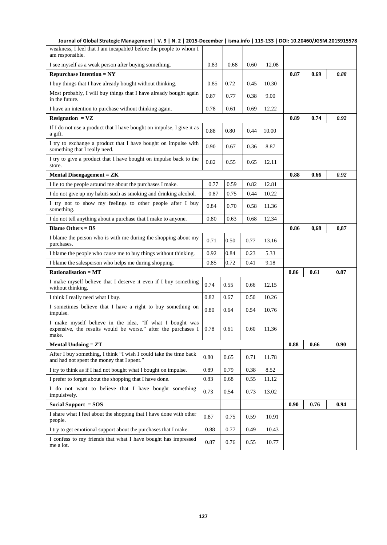| weakness, I feel that I am incapable0 before the people to whom I<br>am responsible.                                               |      |      |      |       |      |      |      |
|------------------------------------------------------------------------------------------------------------------------------------|------|------|------|-------|------|------|------|
| I see myself as a weak person after buying something.                                                                              |      | 0.68 | 0.60 | 12.08 |      |      |      |
| Repurchase Intention $= NY$                                                                                                        |      |      |      |       | 0.87 | 0.69 | 0.88 |
| I buy things that I have already bought without thinking.                                                                          | 0.85 | 0.72 | 0.45 | 10.30 |      |      |      |
| Most probably, I will buy things that I have already bought again<br>in the future.                                                |      | 0.77 | 0.38 | 9.00  |      |      |      |
| I have an intention to purchase without thinking again.                                                                            | 0.78 | 0.61 | 0.69 | 12.22 |      |      |      |
| $Resignation = VZ$                                                                                                                 |      |      |      |       | 0.89 | 0.74 | 0.92 |
| If I do not use a product that I have bought on impulse, I give it as<br>a gift.                                                   | 0.88 | 0.80 | 0.44 | 10.00 |      |      |      |
| I try to exchange a product that I have bought on impulse with<br>something that I really need.                                    | 0.90 | 0.67 | 0.36 | 8.87  |      |      |      |
| I try to give a product that I have bought on impulse back to the<br>store.                                                        | 0.82 | 0.55 | 0.65 | 12.11 |      |      |      |
| <b>Mental Disengagement = <math>ZK</math></b>                                                                                      |      |      |      |       | 0.88 | 0.66 | 0.92 |
| I lie to the people around me about the purchases I make.                                                                          | 0.77 | 0.59 | 0.82 | 12.81 |      |      |      |
| I do not give up my habits such as smoking and drinking alcohol.                                                                   | 0.87 | 0.75 | 0.44 | 10.22 |      |      |      |
| I try not to show my feelings to other people after I buy<br>something.                                                            | 0.84 | 0.70 | 0.58 | 11.36 |      |      |      |
| I do not tell anything about a purchase that I make to anyone.                                                                     | 0.80 | 0.63 | 0.68 | 12.34 |      |      |      |
| <b>Blame Others = <math>BS</math></b>                                                                                              |      |      |      |       | 0.86 | 0,68 | 0,87 |
| I blame the person who is with me during the shopping about my<br>purchases.                                                       | 0.71 | 0.50 | 0.77 | 13.16 |      |      |      |
| I blame the people who cause me to buy things without thinking.                                                                    |      | 0.84 | 0.23 | 5.33  |      |      |      |
| I blame the salesperson who helps me during shopping.                                                                              |      | 0.72 | 0.41 | 9.18  |      |      |      |
| $Rationalisation = MT$                                                                                                             |      |      |      |       | 0.86 | 0.61 | 0.87 |
| I make myself believe that I deserve it even if I buy something<br>without thinking.                                               |      | 0.55 | 0.66 | 12.15 |      |      |      |
| I think I really need what I buy.                                                                                                  |      | 0.67 | 0.50 | 10.26 |      |      |      |
| I sometimes believe that I have a right to buy something on<br>impulse.                                                            |      | 0.64 | 0.54 | 10.76 |      |      |      |
| I make myself believe in the idea, "If what I bought was<br>expensive, the results would be worse." after the purchases I<br>make. | 0.78 | 0.61 | 0.60 | 11.36 |      |      |      |
| <b>Mental Undoing = <math>ZT</math></b>                                                                                            |      |      |      |       | 0.88 | 0.66 | 0.90 |
| After I buy something, I think "I wish I could take the time back<br>and had not spent the money that I spent.                     |      | 0.65 | 0.71 | 11.78 |      |      |      |
| I try to think as if I had not bought what I bought on impulse.                                                                    |      | 0.79 | 0.38 | 8.52  |      |      |      |
| I prefer to forget about the shopping that I have done.<br>0.83                                                                    |      | 0.68 | 0.55 | 11.12 |      |      |      |
| I do not want to believe that I have bought something<br>impulsively.                                                              | 0.73 | 0.54 | 0.73 | 13.02 |      |      |      |
| Social Support = SOS                                                                                                               |      |      |      |       | 0.90 | 0.76 | 0.94 |
| I share what I feel about the shopping that I have done with other<br>people.                                                      |      | 0.75 | 0.59 | 10.91 |      |      |      |
| I try to get emotional support about the purchases that I make.                                                                    |      | 0.77 | 0.49 | 10.43 |      |      |      |
| I confess to my friends that what I have bought has impressed<br>me a lot.                                                         |      | 0.76 | 0.55 | 10.77 |      |      |      |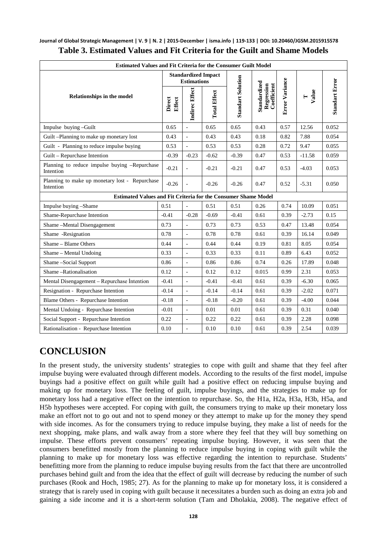#### **Journal of Global Strategic Management | V. 9 | N. 2 | 2015-December | isma.info | 119-133 | DOI: 10.20460/JGSM.2015915578 Table 3. Estimated Values and Fit Criteria for the Guilt and Shame Models**

| <b>Estimated Values and Fit Criteria for the Consumer Guilt Model</b> |                                                                       |                                                  |                     |                          |                                           |                       |            |                       |  |  |
|-----------------------------------------------------------------------|-----------------------------------------------------------------------|--------------------------------------------------|---------------------|--------------------------|-------------------------------------------|-----------------------|------------|-----------------------|--|--|
| <b>Relationships in the model</b>                                     |                                                                       | <b>Standardized Impact</b><br><b>Estimations</b> |                     |                          |                                           |                       |            |                       |  |  |
|                                                                       |                                                                       | <b>Indirec Effect</b>                            | <b>Total Effect</b> | <b>Standart Solution</b> | Standardized<br>Regression<br>Coefficient | <b>Error Variance</b> | Value<br>Н | <b>Standart Error</b> |  |  |
| Impulse buying-Guilt                                                  | 0.65                                                                  | $\overline{a}$                                   | 0.65                | 0.65                     | 0.43                                      | 0.57                  | 12.56      | 0.052                 |  |  |
| Guilt -Planning to make up monetary lost                              | 0.43                                                                  | $\overline{\phantom{a}}$                         | 0.43                | 0.43                     | 0.18                                      | 0.82                  | 7.88       | 0.054                 |  |  |
| Guilt - Planning to reduce impulse buying                             | 0.53                                                                  | L.                                               | 0.53                | 0.53                     | 0.28                                      | 0.72                  | 9.47       | 0.055                 |  |  |
| Guilt – Repurchase Intention                                          | $-0.39$                                                               | $-0.23$                                          | $-0.62$             | $-0.39$                  | 0.47                                      | 0.53                  | $-11.58$   | 0.059                 |  |  |
| Planning to reduce impulse buying -Repurchase<br>Intention            |                                                                       | $\overline{\phantom{a}}$                         | $-0.21$             | $-0.21$                  | 0.47                                      | 0.53                  | $-4.03$    | 0.053                 |  |  |
| Planning to make up monetary lost - Repurchase<br>Intention           | $-0.26$                                                               |                                                  | $-0.26$             | $-0.26$                  | 0.47                                      | 0.52                  | $-5.31$    | 0.050                 |  |  |
|                                                                       | <b>Estimated Values and Fit Criteria for the Consumer Shame Model</b> |                                                  |                     |                          |                                           |                       |            |                       |  |  |
| Impulse buying -Shame                                                 | 0.51                                                                  | $\overline{a}$                                   | 0.51                | 0.51                     | 0.26                                      | 0.74                  | 10.09      | 0.051                 |  |  |
| Shame-Repurchase Intention                                            | $-0.41$                                                               | $-0.28$                                          | $-0.69$             | $-0.41$                  | 0.61                                      | 0.39                  | $-2.73$    | 0.15                  |  |  |
| Shame-Mental Disengagement<br>0.73                                    |                                                                       | $\sim$                                           | 0.73                | 0.73                     | 0.53                                      | 0.47                  | 13.48      | 0.054                 |  |  |
| Shame -Resignation<br>0.78                                            |                                                                       | $\sim$                                           | 0.78                | 0.78                     | 0.61                                      | 0.39                  | 16.14      | 0.049                 |  |  |
| Shame - Blame Others<br>0.44                                          |                                                                       | $\sim$                                           | 0.44                | 0.44                     | 0.19                                      | 0.81                  | 8.05       | 0.054                 |  |  |
| Shame - Mental Undoing<br>0.33                                        |                                                                       | $\overline{\phantom{a}}$                         | 0.33                | 0.33                     | 0.11                                      | 0.89                  | 6.43       | 0.052                 |  |  |
| Shame-Social Support<br>0.86                                          |                                                                       | $\sim$                                           | 0.86                | 0.86                     | 0.74                                      | 0.26                  | 17.89      | 0.048                 |  |  |
| Shame-Rationalisation<br>0.12                                         |                                                                       | $\overline{a}$                                   | 0.12                | 0.12                     | 0.015                                     | 0.99                  | 2.31       | 0.053                 |  |  |
| Mental Disengagement – Repurchase Intention<br>$-0.41$                |                                                                       | $\bar{\phantom{a}}$                              | $-0.41$             | $-0.41$                  | 0.61                                      | 0.39                  | $-6.30$    | 0.065                 |  |  |
| Resignation - Repurchase Intention<br>$-0.14$                         |                                                                       | $\sim$                                           | $-0.14$             | $-0.14$                  | 0.61                                      | 0.39                  | $-2.02$    | 0.071                 |  |  |
| Blame Others - Repurchase Intention<br>$-0.18$                        |                                                                       | $\overline{\phantom{a}}$                         | $-0.18$             | $-0.20$                  | 0.61                                      | 0.39                  | $-4.00$    | 0.044                 |  |  |
| Mental Undoing - Repurchase Intention<br>$-0.01$                      |                                                                       |                                                  | 0.01                | 0.01                     | 0.61                                      | 0.39                  | 0.31       | 0.040                 |  |  |
| Social Support - Repurchase Intention<br>0.22                         |                                                                       | $\frac{1}{2}$                                    | 0.22                | 0.22                     | 0.61                                      | 0.39                  | 2.28       | 0.098                 |  |  |
| Rationalisation - Repurchase Intention<br>0.10                        |                                                                       | $\overline{\phantom{a}}$                         | 0.10                | 0.10                     | 0.61                                      | 0.39                  | 2.54       | 0.039                 |  |  |

# **CONCLUSION**

In the present study, the university students' strategies to cope with guilt and shame that they feel after impulse buying were evaluated through different models. According to the results of the first model, impulse buyings had a positive effect on guilt while guilt had a positive effect on reducing impulse buying and making up for monetary loss. The feeling of guilt, impulse buyings, and the strategies to make up for monetary loss had a negative effect on the intention to repurchase. So, the H1a, H2a, H3a, H3b, H5a, and H5b hypotheses were accepted. For coping with guilt, the consumers trying to make up their monetary loss make an effort not to go out and not to spend money or they attempt to make up for the money they spend with side incomes. As for the consumers trying to reduce impulse buying, they make a list of needs for the next shopping, make plans, and walk away from a store where they feel that they will buy something on impulse. These efforts prevent consumers' repeating impulse buying. However, it was seen that the consumers benefitted mostly from the planning to reduce impulse buying in coping with guilt while the planning to make up for monetary loss was effective regarding the intention to repurchase. Students' benefitting more from the planning to reduce impulse buying results from the fact that there are uncontrolled purchases behind guilt and from the idea that the effect of guilt will decrease by reducing the number of such purchases (Rook and Hoch, 1985; 27). As for the planning to make up for monetary loss, it is considered a strategy that is rarely used in coping with guilt because it necessitates a burden such as doing an extra job and gaining a side income and it is a short-term solution (Tam and Dholakia, 2008). The negative effect of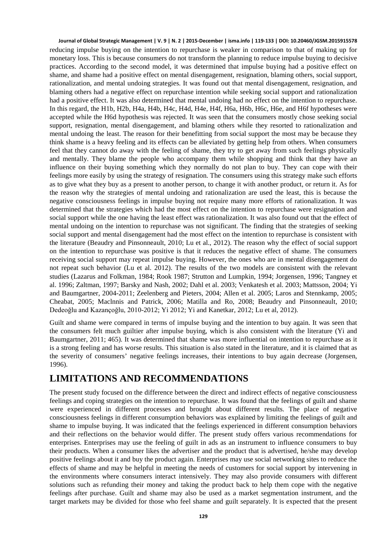reducing impulse buying on the intention to repurchase is weaker in comparison to that of making up for monetary loss. This is because consumers do not transform the planning to reduce impulse buying to decisive practices. According to the second model, it was determined that impulse buying had a positive effect on shame, and shame had a positive effect on mental disengagement, resignation, blaming others, social support, rationalization, and mental undoing strategies. It was found out that mental disengagement, resignation, and blaming others had a negative effect on repurchase intention while seeking social support and rationalization had a positive effect. It was also determined that mental undoing had no effect on the intention to repurchase. In this regard, the H1b, H2b, H4a, H4b, H4c, H4d, H4e, H4f, H6a, H6b, H6c, H6e, and H6f hypotheses were accepted while the H6d hypothesis was rejected. It was seen that the consumers mostly chose seeking social support, resignation, mental disengagement, and blaming others while they resorted to rationalization and mental undoing the least. The reason for their benefitting from social support the most may be because they think shame is a heavy feeling and its effects can be alleviated by getting help from others. When consumers feel that they cannot do away with the feeling of shame, they try to get away from such feelings physically and mentally. They blame the people who accompany them while shopping and think that they have an influence on their buying something which they normally do not plan to buy. They can cope with their feelings more easily by using the strategy of resignation. The consumers using this strategy make such efforts as to give what they buy as a present to another person, to change it with another product, or return it. As for the reason why the strategies of mental undoing and rationalization are used the least, this is because the negative consciousness feelings in impulse buying not require many more efforts of rationalization. It was determined that the strategies which had the most effect on the intention to repurchase were resignation and social support while the one having the least effect was rationalization. It was also found out that the effect of mental undoing on the intention to repurchase was not significant. The finding that the strategies of seeking social support and mental disengagement had the most effect on the intention to repurchase is consistent with the literature (Beaudry and Pinsonneault, 2010; Lu et al., 2012). The reason why the effect of social support on the intention to repurchase was positive is that it reduces the negative effect of shame. The consumers receiving social support may repeat impulse buying. However, the ones who are in mental disengagement do not repeat such behavior (Lu et al. 2012). The results of the two models are consistent with the relevant studies (Lazarus and Folkman, 1984; Rook 1987; Strutton and Lumpkin, 1994; Jorgensen, 1996; Tangney et al. 1996; Zaltman, 1997; Barsky and Nash, 2002; Dahl et al. 2003; Venkatesh et al. 2003; Mattsson, 2004; Yi and Baumgartner, 2004-2011; Zeelenberg and Pieters, 2004; Allen et al. 2005; Laros and Stennkamp, 2005; Cheabat, 2005; Maclnnis and Patrick, 2006; Matilla and Ro, 2008; Beaudry and Pinsonneault, 2010; Dedeoğlu and Kazançoğlu, 2010-2012; Yi 2012; Yi and Kanetkar, 2012; Lu et al, 2012).

Guilt and shame were compared in terms of impulse buying and the intention to buy again. It was seen that the consumers felt much guiltier after impulse buying, which is also consistent with the literature (Yi and Baumgartner, 2011; 465). It was determined that shame was more influential on intention to repurchase as it is a strong feeling and has worse results. This situation is also stated in the literature, and it is claimed that as the severity of consumers' negative feelings increases, their intentions to buy again decrease (Jorgensen, 1996).

### **LIMITATIONS AND RECOMMENDATIONS**

The present study focused on the difference between the direct and indirect effects of negative consciousness feelings and coping strategies on the intention to repurchase. It was found that the feelings of guilt and shame were experienced in different processes and brought about different results. The place of negative consciousness feelings in different consumption behaviors was explained by limiting the feelings of guilt and shame to impulse buying. It was indicated that the feelings experienced in different consumption behaviors and their reflections on the behavior would differ. The present study offers various recommendations for enterprises. Enterprises may use the feeling of guilt in ads as an instrument to influence consumers to buy their products. When a consumer likes the advertiser and the product that is advertised, he/she may develop positive feelings about it and buy the product again. Enterprises may use social networking sites to reduce the effects of shame and may be helpful in meeting the needs of customers for social support by intervening in the environments where consumers interact intensively. They may also provide consumers with different solutions such as refunding their money and taking the product back to help them cope with the negative feelings after purchase. Guilt and shame may also be used as a market segmentation instrument, and the target markets may be divided for those who feel shame and guilt separately. It is expected that the present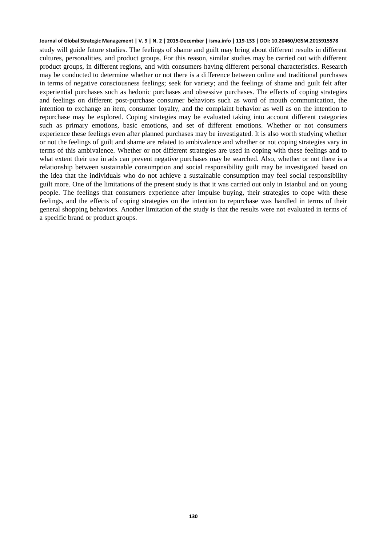study will guide future studies. The feelings of shame and guilt may bring about different results in different cultures, personalities, and product groups. For this reason, similar studies may be carried out with different product groups, in different regions, and with consumers having different personal characteristics. Research may be conducted to determine whether or not there is a difference between online and traditional purchases in terms of negative consciousness feelings; seek for variety; and the feelings of shame and guilt felt after experiential purchases such as hedonic purchases and obsessive purchases. The effects of coping strategies and feelings on different post-purchase consumer behaviors such as word of mouth communication, the intention to exchange an item, consumer loyalty, and the complaint behavior as well as on the intention to repurchase may be explored. Coping strategies may be evaluated taking into account different categories such as primary emotions, basic emotions, and set of different emotions. Whether or not consumers experience these feelings even after planned purchases may be investigated. It is also worth studying whether or not the feelings of guilt and shame are related to ambivalence and whether or not coping strategies vary in terms of this ambivalence. Whether or not different strategies are used in coping with these feelings and to what extent their use in ads can prevent negative purchases may be searched. Also, whether or not there is a relationship between sustainable consumption and social responsibility guilt may be investigated based on the idea that the individuals who do not achieve a sustainable consumption may feel social responsibility guilt more. One of the limitations of the present study is that it was carried out only in Istanbul and on young people. The feelings that consumers experience after impulse buying, their strategies to cope with these feelings, and the effects of coping strategies on the intention to repurchase was handled in terms of their general shopping behaviors. Another limitation of the study is that the results were not evaluated in terms of a specific brand or product groups.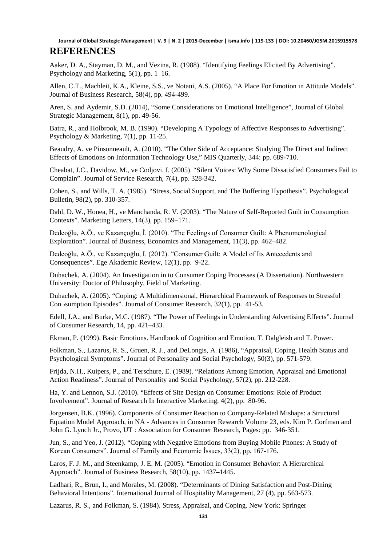Aaker, D. A., Stayman, D. M., and Vezina, R. (1988). "Identifying Feelings Elicited By Advertising". Psychology and Marketing, 5(1), pp. 1–16.

Allen, C.T., Machleit, K.A., Kleine, S.S., ve Notani, A.S. (2005). "A Place For Emotion in Attitude Models". Journal of Business Research, 58(4), pp. 494-499.

Aren, S. and Aydemir, S.D. (2014), "Some Considerations on Emotional Intelligence", Journal of Global Strategic Management, 8(1), pp. 49-56.

Batra, R., and Holbrook, M. B. (1990). "Developing A Typology of Affective Responses to Advertising". Psychology & Marketing, 7(1), pp. 11-25.

Beaudry, A. ve Pinsonneault, A. (2010). "The Other Side of Acceptance: Studying The Direct and Indirect Effects of Emotions on Information Technology Use," MIS Quarterly, 344: pp. 689-710.

Cheabat, J.C., Davidow, M., ve Codjovi, I. (2005). "Silent Voices: Why Some Dissatisfied Consumers Fail to Complain". Journal of Service Research, 7(4), pp. 328-342.

Cohen, S., and Wills, T. A. (1985). "Stress, Social Support, and The Buffering Hypothesis". Psychological Bulletin, 98(2), pp. 310-357.

Dahl, D. W., Honea, H., ve Manchanda, R. V. (2003). "The Nature of Self-Reported Guilt in Consumption Contexts". Marketing Letters, 14(3), pp. 159–171.

Dedeoğlu, A.Ö., ve Kazançoğlu, İ. (2010). "The Feelings of Consumer Guilt: A Phenomenological Exploration". Journal of Business, Economics and Management, 11(3), pp. 462–482.

Dedeoğlu, A.Ö., ve Kazançoğlu, I. (2012). "Consumer Guilt: A Model of Its Antecedents and Consequences". Ege Akademic Review, 12(1), pp. 9-22.

Duhachek, A. (2004). An Investigation in to Consumer Coping Processes (A Dissertation). Northwestern University: Doctor of Philosophy, Field of Marketing.

Duhachek, A. (2005). "Coping: A Multidimensional, Hierarchical Framework of Responses to Stressful Con¬sumption Episodes". Journal of Consumer Research, 32(1), pp. 41-53.

Edell, J.A., and Burke, M.C. (1987). "The Power of Feelings in Understanding Advertising Effects". Journal of Consumer Research, 14, pp. 421–433.

Ekman, P. (1999). Basic Emotions. Handbook of Cognition and Emotion, T. Dalgleish and T. Power.

Folkman, S., Lazarus, R. S., Gruen, R. J., and DeLongis, A. (1986), "Appraisal, Coping, Health Status and Psychological Symptoms". Journal of Personality and Social Psychology, 50(3), pp. 571-579.

Frijda, N.H., Kuipers, P., and Terschure, E. (1989). "Relations Among Emotion, Appraisal and Emotional Action Readiness". Journal of Personality and Social Psychology, 57(2), pp. 212-228.

Ha, Y. and Lennon, S.J. (2010). "Effects of Site Design on Consumer Emotions: Role of Product Involvement". Journal of Research In Interactive Marketing, 4(2), pp. 80-96.

Jorgensen, B.K. (1996). Components of Consumer Reaction to Company-Related Mishaps: a Structural Equation Model Approach, in NA - Advances in Consumer Research Volume 23, eds. Kim P. Corfman and John G. Lynch Jr., Provo, UT : Association for Consumer Research, Pages: pp. 346-351.

Jun, S., and Yeo, J. (2012). "Coping with Negative Emotions from Buying Mobile Phones: A Study of Korean Consumers". Journal of Family and Economic İssues, 33(2), pp. 167-176.

Laros, F. J. M., and Steenkamp, J. E. M. (2005). "Emotion in Consumer Behavior: A Hierarchical Approach". Journal of Business Research, 58(10), pp. 1437–1445.

Ladhari, R., Brun, I., and Morales, M. (2008). "Determinants of Dining Satisfaction and Post-Dining Behavioral Intentions". International Journal of Hospitality Management, 27 (4), pp. 563-573.

Lazarus, R. S., and Folkman, S. (1984). Stress, Appraisal, and Coping. New York: Springer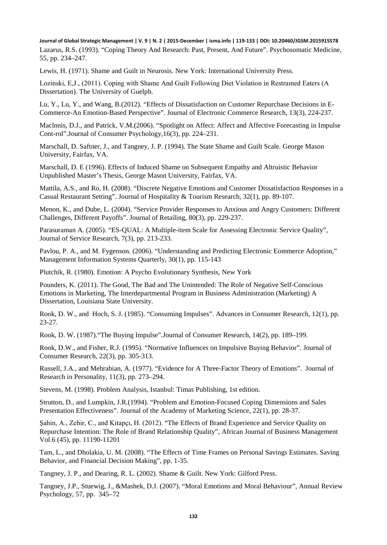Lazarus, R.S. (1993). "Coping Theory And Research: Past, Present, And Future". Psychosomatic Medicine, 55, pp. 234–247.

Lewis, H. (1971). Shame and Guilt in Neurosis. New York: International University Press.

Lozinski, E,J., (2011). Coping with Shame And Guilt Following Diet Violation in Restraıned Eaters (A Dissertation). The University of Guelph.

Lu, Y., Lu, Y., and Wang, B.(2012). "Effects of Dissatisfaction on Customer Repurchase Decisions in E-Commerce-An Emotion-Based Perspective". Journal of Electronic Commerce Research, 13(3), 224-237.

MacInnis, D.J., and Patrick, V.M.(2006). "Spotlight on Affect: Affect and Affective Forecasting in Impulse Cont-rol".Journal of Consumer Psychology,16(3), pp. 224–231.

Marschall, D. Saftner, J., and Tangney, J. P. (1994). The State Shame and Guilt Scale. George Mason University, Fairfax, VA.

Marschall, D. E (1996). Effects of Induced Shame on Subsequent Empathy and Altruistic Behavior Unpublished Master's Thesis, George Mason University, Fairfax, VA.

Mattila, A.S., and Ro, H. (2008). "Discrete Negative Emotions and Customer Dissatisfaction Responses in a Casual Restaurant Setting". Journal of Hospitality & Tourism Research, 32(1), pp. 89-107.

Menon, K., and Dube, L. (2004). "Service Provider Responses to Anxious and Angry Customers: Different Challenges, Different Payoffs". Journal of Retailing, 80(3), pp. 229-237.

Parasuraman A. (2005). "ES-QUAL: A Multiple-item Scale for Assessing Electronic Service Quality", Journal of Service Research, 7(3), pp. 213-233.

Pavlou, P. A., and M. Fygenson. (2006). "Understanding and Predicting Electronic Eommerce Adoption," Management Information Systems Quarterly, 30(1), pp. 115-143

Plutchik, R. (1980). Emotion: A Psycho Evolutionary Synthesis, New York

Pounders, K. (2011). The Good, The Bad and The Unintended: The Role of Negative Self-Conscious Emotions in Marketing, The Interdepartmental Program in Business Administration (Marketing) A Dissertation, Louisiana State University.

Rook, D. W., and Hoch, S. J. (1985). "Consuming Impulses". Advances in Consumer Research, 12(1), pp. 23-27.

Rook, D. W. (1987)."The Buying Impulse".Journal of Consumer Research, 14(2), pp. 189–199.

Rook, D.W., and Fisher, R.J. (1995). "Normative Influences on Impulsive Buying Behavior". Journal of Consumer Research, 22(3), pp. 305-313.

Russell, J.A., and Mehrabian, A. (1977). "Evidence for A Three-Factor Theory of Emotions". Journal of Research in Personality, 11(3), pp. 273–294.

Stevens, M. (1998). Problem Analysis, Istanbul: Timas Publishing, 1st edition.

Strutton, D., and Lumpkin, J.R.(1994). "Problem and Emotion-Focused Coping Dimensions and Sales Presentation Effectiveness". Journal of the Academy of Marketing Science, 22(1), pp. 28-37.

Şahin, A., Zehir, C., and Kitapçı, H. (2012). "The Effects of Brand Experience and Service Quality on Repurchase Intention: The Role of Brand Relationship Quality", African Journal of Business Management Vol.6 (45), pp. 11190-11201

Tam, L., and Dholakia, U. M. (2008). "The Effects of Time Frames on Personal Savings Estimates. Saving Behavior, and Financial Decision Making", pp. 1-35.

Tangney, J. P., and Dearing, R. L. (2002). Shame & Guilt. New York: Gilford Press.

Tangney, J.P., Stuewig, J., &Mashek, D.J. (2007). "Moral Emotions and Moral Behaviour", Annual Review Psychology, 57, pp. 345–72